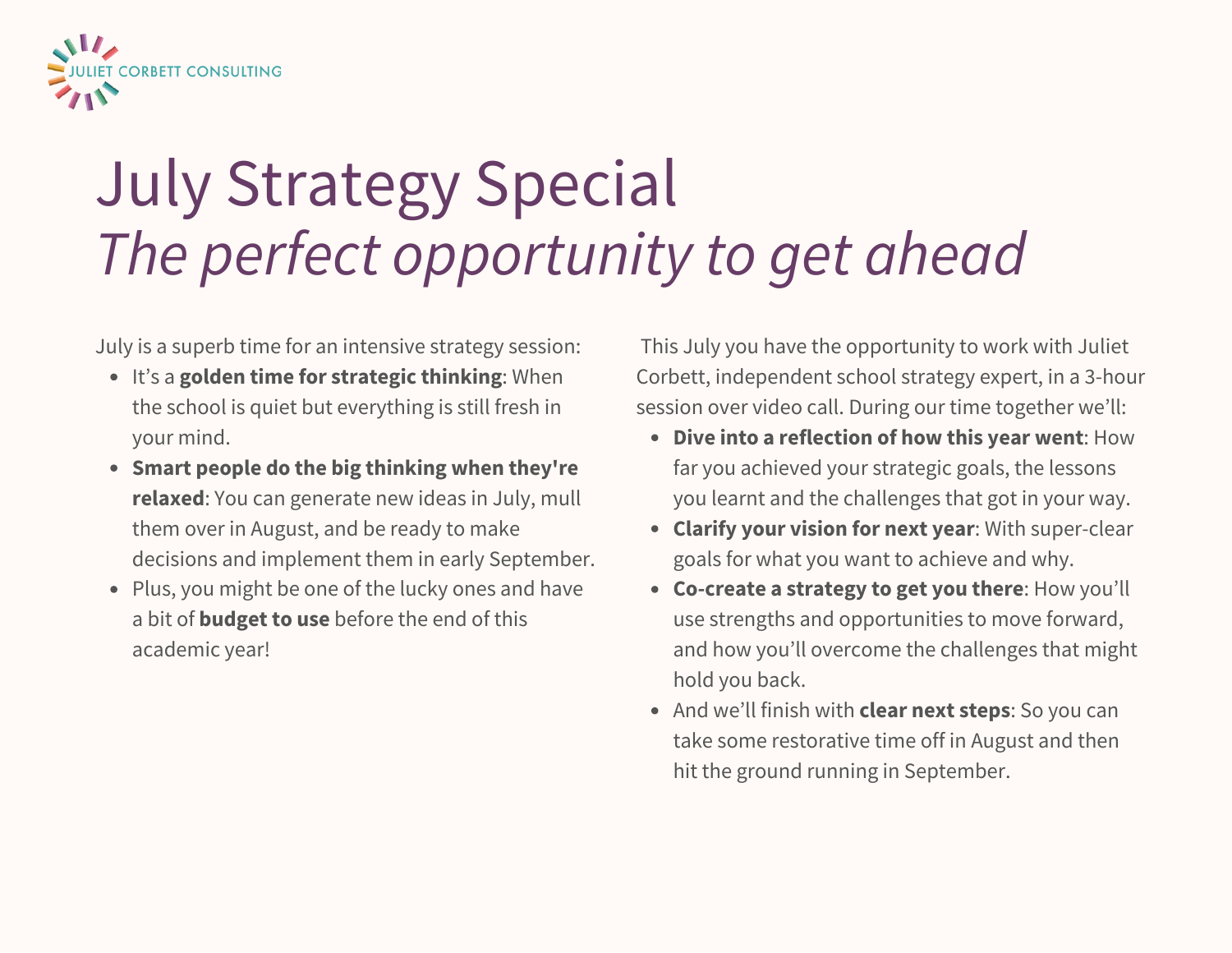

# July Strategy Special *The perfect opportunity to get ahead*

July is a superb time for an intensive strategy session:

- It's a **golden time for strategic thinking**: When the school is quiet but everything is still fresh in your mind.
- **Smart people do the big thinking when they're relaxed**: You can generate new ideas in July, mull them over in August, and be ready to make decisions and implement them in early September.
- Plus, you might be one of the lucky ones and have a bit of **budget to use** before the end of this academic year!

This July you have the opportunity to work with Juliet Corbett, independent school strategy expert, in a 3-hour session over video call. During our time together we'll:

- **Dive into a reflection of how this year went**: How far you achieved your strategic goals, the lessons you learnt and the challenges that got in your way.
- **Clarify your vision for next year**: With super-clear goals for what you want to achieve and why.
- **Co-create a strategy to get you there**: How you'll use strengths and opportunities to move forward, and how you'll overcome the challenges that might hold you back.
- And we'll finish with **clear next steps**: So you can take some restorative time off in August and then hit the ground running in September.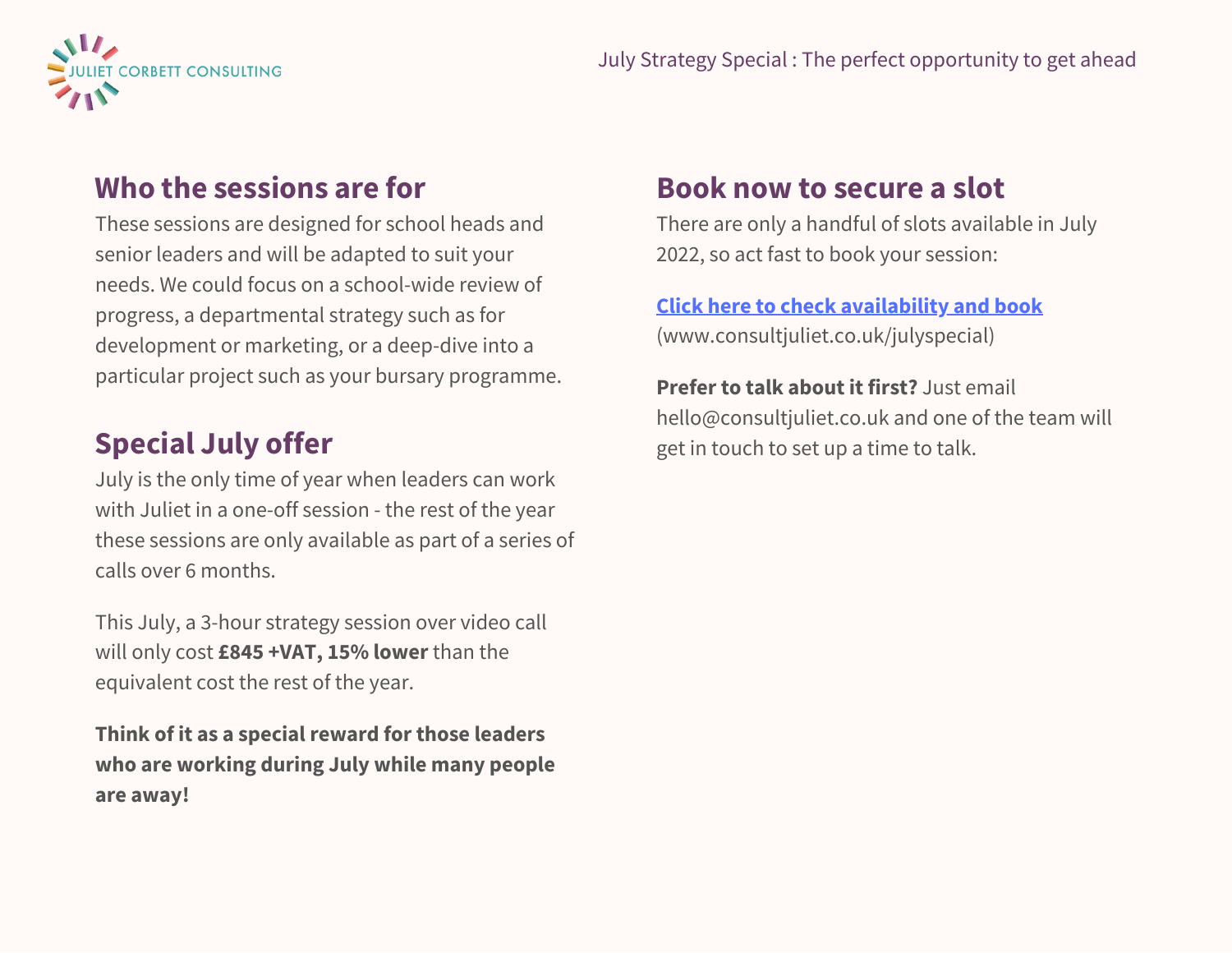

### **Who the sessions are for**

These sessions are designed for school heads and senior leaders and will be adapted to suit your needs. We could focus on a school-wide review of progress, a departmental strategy such as for development or marketing, or a deep-dive into a particular project such as your bursary programme.

## **Special July offer**

July is the only time of year when leaders can work with Juliet in a one-off session - the rest of the year these sessions are only available as part of a series of calls over 6 months.

This July, a 3-hour strategy session over video call will only cost **£845 +VAT, 15% lower** than the equivalent cost the rest of the year.

**Think of it as a special reward for those leaders who are working during July while many people are away!**

## **Book now to secure a slot**

There are only a handful of slots available in July 2022, so act fast to book your session:

#### **Click here to check [availability](https://www.consultjuliet.co.uk/julyspecial) and book** (www.consultjuliet.co.uk/julyspecial)

**Prefer to talk about it first?** Just email hello@consultjuliet.co.uk and one of the team will get in touch to set up a time to talk.